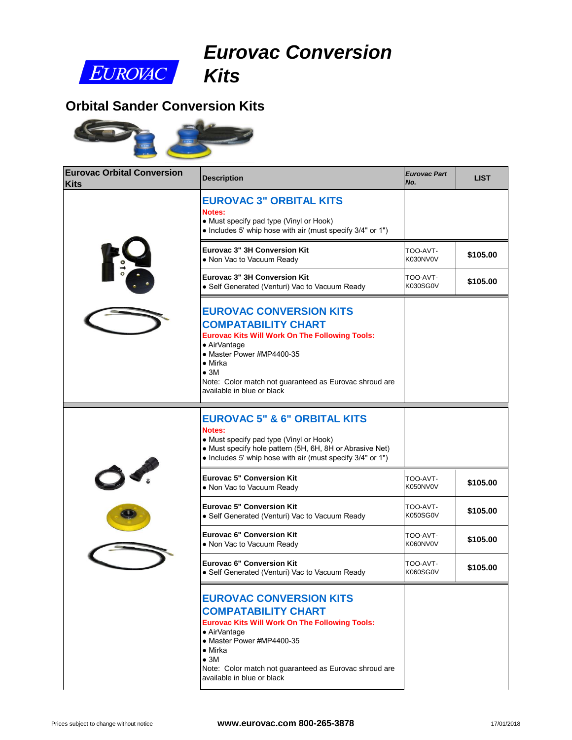

# *Eurovac Conversion Kits*

### **Orbital Sander Conversion Kits**



| <b>Eurovac Orbital Conversion</b><br><b>Kits</b> | <b>Description</b>                                                                                                                                                                                                                                                                            | <b>Eurovac Part</b><br>No. |
|--------------------------------------------------|-----------------------------------------------------------------------------------------------------------------------------------------------------------------------------------------------------------------------------------------------------------------------------------------------|----------------------------|
|                                                  | <b>EUROVAC 3" ORBITAL KITS</b><br>Notes:<br>• Must specify pad type (Vinyl or Hook)<br>• Includes 5' whip hose with air (must specify 3/4" or 1")                                                                                                                                             |                            |
|                                                  | <b>Eurovac 3" 3H Conversion Kit</b><br>• Non Vac to Vacuum Ready                                                                                                                                                                                                                              | TOO-AVT-<br>K030NV0V       |
|                                                  | <b>Eurovac 3" 3H Conversion Kit</b><br>• Self Generated (Venturi) Vac to Vacuum Ready                                                                                                                                                                                                         | TOO-AVT-<br>K030SG0V       |
|                                                  | <b>EUROVAC CONVERSION KITS</b><br><b>COMPATABILITY CHART</b><br><b>Eurovac Kits Will Work On The Following Tools:</b><br>• AirVantage<br>• Master Power #MP4400-35<br>$\bullet$ Mirka<br>$\bullet$ 3M<br>Note: Color match not guaranteed as Eurovac shroud are<br>available in blue or black |                            |
|                                                  | <b>EUROVAC 5" &amp; 6" ORBITAL KITS</b><br>Notes:<br>• Must specify pad type (Vinyl or Hook)<br>• Must specify hole pattern (5H, 6H, 8H or Abrasive Net)<br>• Includes 5' whip hose with air (must specify 3/4" or 1")                                                                        |                            |
|                                                  | <b>Eurovac 5" Conversion Kit</b><br>. Non Vac to Vacuum Ready                                                                                                                                                                                                                                 | TOO-AVT-<br>K050NV0V       |
|                                                  | <b>Eurovac 5" Conversion Kit</b><br>· Self Generated (Venturi) Vac to Vacuum Ready                                                                                                                                                                                                            | TOO-AVT-<br>K050SG0V       |
|                                                  | <b>Eurovac 6" Conversion Kit</b><br>• Non Vac to Vacuum Ready                                                                                                                                                                                                                                 | -TOO-AVT<br>K060NV0V       |
|                                                  | <b>Eurovac 6" Conversion Kit</b><br>• Self Generated (Venturi) Vac to Vacuum Ready                                                                                                                                                                                                            | TOO-AVT-<br>K060SG0V       |
|                                                  | <b>EUROVAC CONVERSION KITS</b><br><b>COMPATABILITY CHART</b><br><b>Eurovac Kits Will Work On The Following Tools:</b><br>• AirVantage<br>• Master Power #MP4400-35<br>$\bullet$ Mirka<br>$\bullet$ 3M<br>Note: Color match not guaranteed as Eurovac shroud are<br>available in blue or black |                            |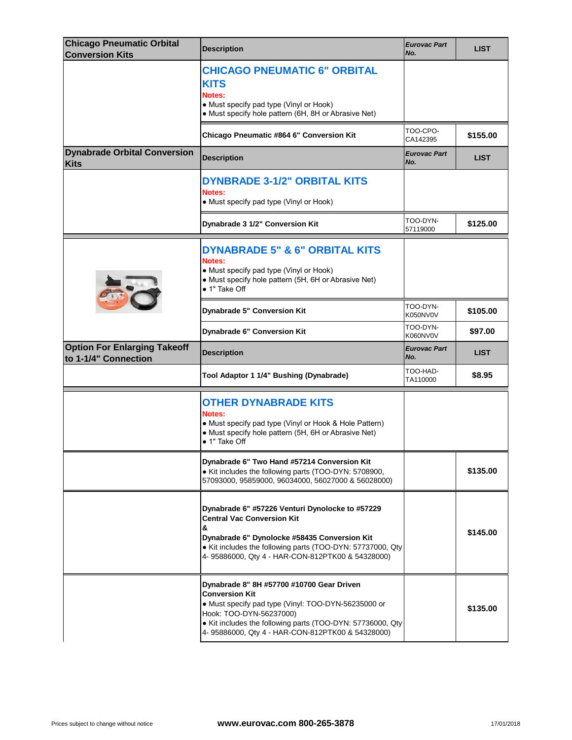| <b>Chicago Pneumatic Orbital</b><br><b>Conversion Kits</b>  | <b>Description</b>                                                                                                                                                                                                                                          | <b>Eurovac Part</b><br>No. |
|-------------------------------------------------------------|-------------------------------------------------------------------------------------------------------------------------------------------------------------------------------------------------------------------------------------------------------------|----------------------------|
|                                                             | <b>CHICAGO PNEUMATIC 6" ORBITAL</b><br><b>KITS</b><br>Notes:<br>• Must specify pad type (Vinyl or Hook)<br>• Must specify hole pattern (6H, 8H or Abrasive Net)                                                                                             |                            |
|                                                             | Chicago Pneumatic #864 6" Conversion Kit                                                                                                                                                                                                                    | TOO-CPO-<br>CA142395       |
| <b>Dynabrade Orbital Conversion</b><br><b>Kits</b>          | <b>Description</b>                                                                                                                                                                                                                                          | <b>Eurovac Part</b><br>No. |
|                                                             | <b>DYNBRADE 3-1/2" ORBITAL KITS</b><br>Notes:<br>• Must specify pad type (Vinyl or Hook)                                                                                                                                                                    |                            |
|                                                             | Dynabrade 3 1/2" Conversion Kit                                                                                                                                                                                                                             | TOO-DYN-<br>57119000       |
|                                                             | <b>DYNABRADE 5" &amp; 6" ORBITAL KITS</b><br><b>Notes:</b><br>• Must specify pad type (Vinyl or Hook)<br>• Must specify hole pattern (5H, 6H or Abrasive Net)<br>• 1" Take Off                                                                              |                            |
|                                                             | Dynabrade 5" Conversion Kit                                                                                                                                                                                                                                 | TOO-DYN-<br>K050NV0V       |
|                                                             | Dynabrade 6" Conversion Kit                                                                                                                                                                                                                                 | TOO-DYN-<br>K060NV0V       |
|                                                             |                                                                                                                                                                                                                                                             |                            |
| <b>Option For Enlarging Takeoff</b><br>to 1-1/4" Connection | <b>Description</b>                                                                                                                                                                                                                                          | <b>Eurovac Part</b><br>No. |
|                                                             | Tool Adaptor 1 1/4" Bushing (Dynabrade)                                                                                                                                                                                                                     | TOO-HAD-<br>TA110000       |
|                                                             | <b>OTHER DYNABRADE KITS</b><br>Notes:<br>• Must specify pad type (Vinyl or Hook & Hole Pattern)<br>• Must specify hole pattern (5H, 6H or Abrasive Net)<br>$\bullet$ 1" Take Off                                                                            |                            |
|                                                             | Dynabrade 6" Two Hand #57214 Conversion Kit<br>• Kit includes the following parts (TOO-DYN: 5708900,<br>57093000, 95859000, 96034000, 56027000 & 56028000)                                                                                                  |                            |
|                                                             | Dynabrade 6" #57226 Venturi Dynolocke to #57229<br><b>Central Vac Conversion Kit</b><br>&<br>Dynabrade 6" Dynolocke #58435 Conversion Kit<br>• Kit includes the following parts (TOO-DYN: 57737000, Qty<br>4-95886000, Qty 4 - HAR-CON-812PTK00 & 54328000) |                            |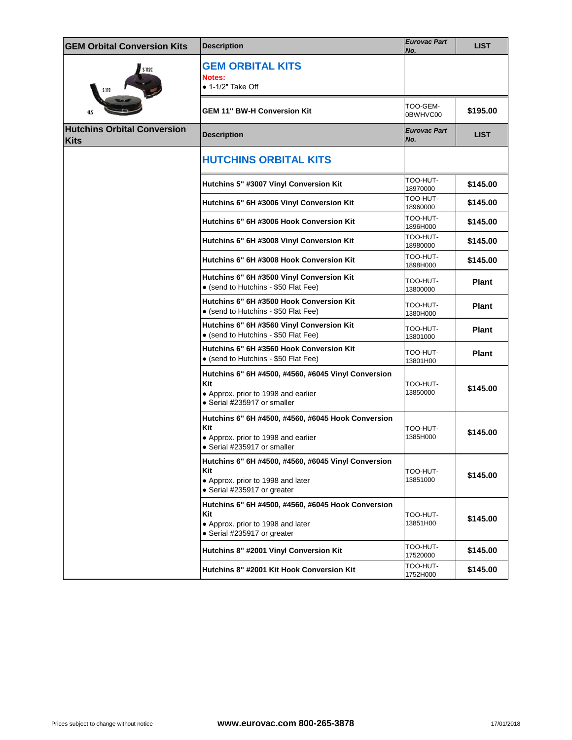| <b>GEM Orbital Conversion Kits</b>         | <b>Description</b>                                                                                                               | <b>Eurovac Part</b><br>No. |  |
|--------------------------------------------|----------------------------------------------------------------------------------------------------------------------------------|----------------------------|--|
| <b>S-112C</b><br><b>S-112</b>              | <b>GEM ORBITAL KITS</b><br>Notes:<br>$\bullet$ 1-1/2" Take Off                                                                   |                            |  |
| <b>HLS</b>                                 | <b>GEM 11" BW-H Conversion Kit</b>                                                                                               | TOO-GEM-<br>0BWHVC00       |  |
| <b>Hutchins Orbital Conversion</b><br>Kits | <b>Description</b>                                                                                                               | Eurovac Part<br>No.        |  |
|                                            | <b>HUTCHINS ORBITAL KITS</b>                                                                                                     |                            |  |
|                                            | Hutchins 5" #3007 Vinyl Conversion Kit                                                                                           | TOO-HUT-<br>18970000       |  |
|                                            | Hutchins 6" 6H #3006 Vinyl Conversion Kit                                                                                        | TOO-HUT-<br>18960000       |  |
|                                            | Hutchins 6" 6H #3006 Hook Conversion Kit                                                                                         | TOO-HUT-<br>1896H000       |  |
|                                            | Hutchins 6" 6H #3008 Vinyl Conversion Kit                                                                                        | TOO-HUT-<br>18980000       |  |
|                                            | Hutchins 6" 6H #3008 Hook Conversion Kit                                                                                         | TOO-HUT-<br>1898H000       |  |
|                                            | Hutchins 6" 6H #3500 Vinyl Conversion Kit<br>• (send to Hutchins - \$50 Flat Fee)                                                | TOO-HUT-<br>13800000       |  |
|                                            | Hutchins 6" 6H #3500 Hook Conversion Kit<br>• (send to Hutchins - \$50 Flat Fee)                                                 | TOO-HUT-<br>1380H000       |  |
|                                            | Hutchins 6" 6H #3560 Vinyl Conversion Kit<br>• (send to Hutchins - \$50 Flat Fee)                                                | TOO-HUT-<br>13801000       |  |
|                                            | Hutchins 6" 6H #3560 Hook Conversion Kit<br>• (send to Hutchins - \$50 Flat Fee)                                                 | TOO-HUT-<br>13801H00       |  |
|                                            | Hutchins 6" 6H #4500, #4560, #6045 Vinyl Conversion<br>Kit<br>• Approx. prior to 1998 and earlier<br>• Serial #235917 or smaller | TOO-HUT-<br>13850000       |  |
|                                            | Hutchins 6" 6H #4500, #4560, #6045 Hook Conversion<br>Kit<br>• Approx. prior to 1998 and earlier<br>• Serial #235917 or smaller  | TOO-HUT-<br>1385H000       |  |
|                                            | Hutchins 6" 6H #4500, #4560, #6045 Vinyl Conversion<br>Kit<br>• Approx. prior to 1998 and later<br>• Serial #235917 or greater   | TOO-HUT-<br>13851000       |  |
|                                            | Hutchins 6" 6H #4500, #4560, #6045 Hook Conversion<br>Kit<br>• Approx. prior to 1998 and later<br>• Serial #235917 or greater    | TOO-HUT-<br>13851H00       |  |
|                                            | Hutchins 8" #2001 Vinyl Conversion Kit                                                                                           | TOO-HUT-<br>17520000       |  |
|                                            | Hutchins 8" #2001 Kit Hook Conversion Kit                                                                                        | TOO-HUT-<br>1752H000       |  |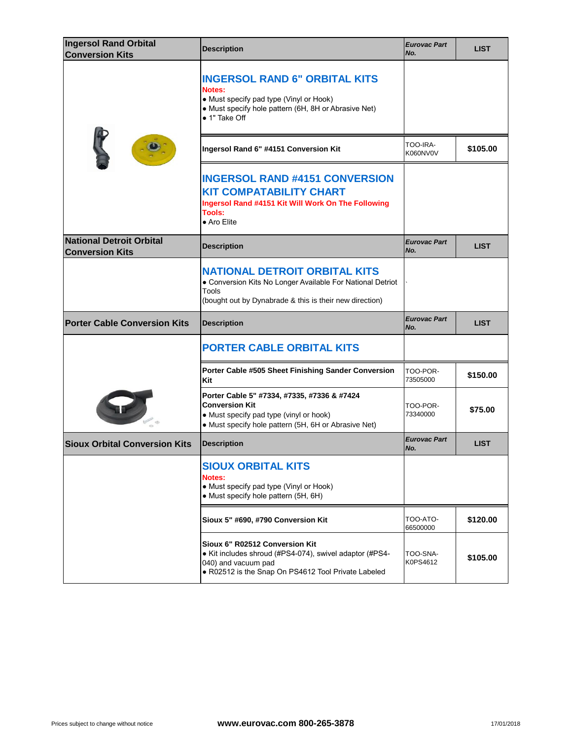| <b>Ingersol Rand Orbital</b><br><b>Conversion Kits</b>    | <b>Description</b>                                                                                                                                                        | <b>Eurovac Part</b><br>No. |
|-----------------------------------------------------------|---------------------------------------------------------------------------------------------------------------------------------------------------------------------------|----------------------------|
|                                                           | <b>INGERSOL RAND 6" ORBITAL KITS</b><br><b>Notes:</b><br>• Must specify pad type (Vinyl or Hook)<br>• Must specify hole pattern (6H, 8H or Abrasive Net)<br>• 1" Take Off |                            |
|                                                           | Ingersol Rand 6" #4151 Conversion Kit                                                                                                                                     | TOO-IRA-<br>K060NV0V       |
|                                                           | <b>INGERSOL RAND #4151 CONVERSION</b><br><b>KIT COMPATABILITY CHART</b><br>Ingersol Rand #4151 Kit Will Work On The Following<br>Tools:<br>• Aro Elite                    |                            |
| <b>National Detroit Orbital</b><br><b>Conversion Kits</b> | <b>Description</b>                                                                                                                                                        | <b>Eurovac Part</b><br>No. |
|                                                           | <b>NATIONAL DETROIT ORBITAL KITS</b><br>• Conversion Kits No Longer Available For National Detriot<br>Tools<br>(bought out by Dynabrade & this is their new direction)    |                            |
|                                                           |                                                                                                                                                                           |                            |
| <b>Porter Cable Conversion Kits</b>                       | <b>Description</b>                                                                                                                                                        | <b>Eurovac Part</b><br>No. |
|                                                           | <b>PORTER CABLE ORBITAL KITS</b>                                                                                                                                          |                            |
|                                                           | Porter Cable #505 Sheet Finishing Sander Conversion<br>Kit                                                                                                                | TOO-POR-<br>73505000       |
|                                                           | Porter Cable 5" #7334, #7335, #7336 & #7424<br><b>Conversion Kit</b><br>• Must specify pad type (vinyl or hook)<br>• Must specify hole pattern (5H, 6H or Abrasive Net)   | TOO-POR-<br>73340000       |
| <b>Sioux Orbital Conversion Kits</b>                      | <b>Description</b>                                                                                                                                                        | <b>Eurovac Part</b><br>No. |
|                                                           | <b>SIOUX ORBITAL KITS</b><br>Notes:<br>• Must specify pad type (Vinyl or Hook)<br>• Must specify hole pattern (5H, 6H)                                                    |                            |
|                                                           | Sioux 5" #690, #790 Conversion Kit                                                                                                                                        | TOO-ATO-<br>66500000       |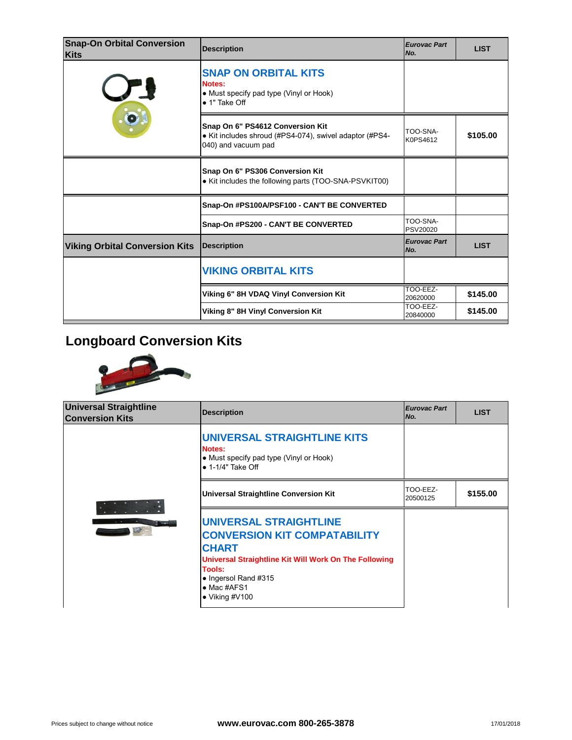| <b>Snap-On Orbital Conversion</b><br><b>Kits</b> | <b>Description</b>                                                                                                 | <b>Eurovac Part</b><br>No. |
|--------------------------------------------------|--------------------------------------------------------------------------------------------------------------------|----------------------------|
|                                                  | <b>SNAP ON ORBITAL KITS</b><br>Notes:<br>• Must specify pad type (Vinyl or Hook)<br>• 1" Take Off                  |                            |
|                                                  | Snap On 6" PS4612 Conversion Kit<br>• Kit includes shroud (#PS4-074), swivel adaptor (#PS4-<br>040) and vacuum pad | TOO-SNA-<br>K0PS4612       |
|                                                  | Snap On 6" PS306 Conversion Kit<br>• Kit includes the following parts (TOO-SNA-PSVKIT00)                           |                            |
|                                                  | Snap-On #PS100A/PSF100 - CAN'T BE CONVERTED                                                                        |                            |
|                                                  | Snap-On #PS200 - CAN'T BE CONVERTED                                                                                | TOO-SNA-<br>PSV20020       |
| <b>Viking Orbital Conversion Kits</b>            | <b>Description</b>                                                                                                 | <b>Eurovac Part</b><br>No. |
|                                                  | <b>VIKING ORBITAL KITS</b>                                                                                         |                            |
|                                                  | Viking 6" 8H VDAQ Vinyl Conversion Kit                                                                             | TOO-EEZ-<br>20620000       |
|                                                  | Viking 8" 8H Vinyl Conversion Kit                                                                                  | TOO-EEZ-<br>20840000       |
|                                                  |                                                                                                                    |                            |

# **Longboard Conversion Kits**



| <b>Universal Straightline</b><br><b>Conversion Kits</b> | <b>Description</b>                                                                                                                                                                                                                       | <b>Eurovac Part</b><br>INo. |
|---------------------------------------------------------|------------------------------------------------------------------------------------------------------------------------------------------------------------------------------------------------------------------------------------------|-----------------------------|
| E THE                                                   | <b>UNIVERSAL STRAIGHTLINE KITS</b><br>Notes:<br>• Must specify pad type (Vinyl or Hook)<br>$\bullet$ 1-1/4" Take Off                                                                                                                     |                             |
|                                                         | <b>Universal Straightline Conversion Kit</b>                                                                                                                                                                                             | TOO-EEZ-<br>20500125        |
|                                                         | <b>UNIVERSAL STRAIGHTLINE</b><br><b>CONVERSION KIT COMPATABILITY</b><br><b>CHART</b><br>Universal Straightline Kit Will Work On The Following<br>Tools:<br>$\bullet$ Ingersol Rand #315<br>$\bullet$ Mac #AFS1<br>$\bullet$ Viking #V100 |                             |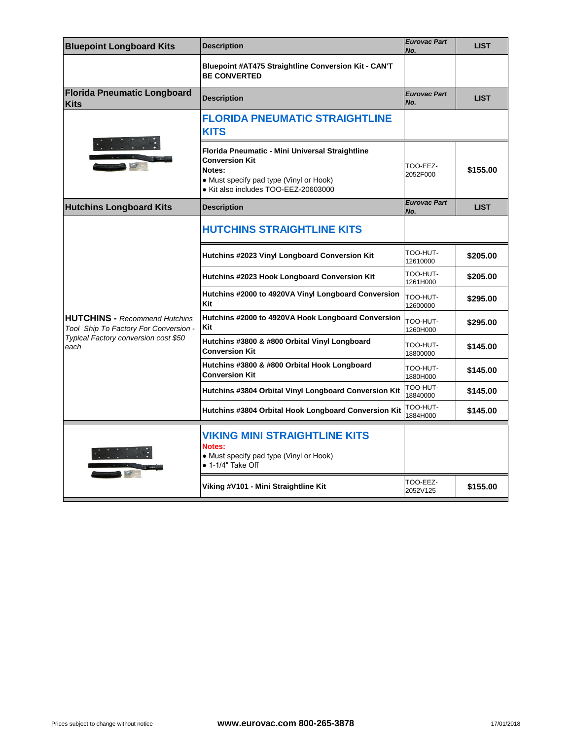| <b>Bluepoint Longboard Kits</b>                                               | <b>Description</b>                                                                                                                                                    | <b>Eurovac Part</b><br>No. |
|-------------------------------------------------------------------------------|-----------------------------------------------------------------------------------------------------------------------------------------------------------------------|----------------------------|
|                                                                               | <b>Bluepoint #AT475 Straightline Conversion Kit - CAN'T</b><br><b>BE CONVERTED</b>                                                                                    |                            |
| <b>Florida Pneumatic Longboard</b><br><b>Kits</b>                             | <b>Description</b>                                                                                                                                                    | <b>Eurovac Part</b><br>No. |
|                                                                               | <b>FLORIDA PNEUMATIC STRAIGHTLINE</b><br><b>KITS</b>                                                                                                                  |                            |
|                                                                               | Florida Pneumatic - Mini Universal Straightline<br><b>Conversion Kit</b><br>Notes:<br>• Must specify pad type (Vinyl or Hook)<br>· Kit also includes TOO-EEZ-20603000 | TOO-EEZ-<br>2052F000       |
| <b>Hutchins Longboard Kits</b>                                                | <b>Description</b>                                                                                                                                                    | <b>Eurovac Part</b><br>No. |
|                                                                               | <b>HUTCHINS STRAIGHTLINE KITS</b>                                                                                                                                     |                            |
|                                                                               | Hutchins #2023 Vinyl Longboard Conversion Kit                                                                                                                         | TOO-HUT-<br>12610000       |
|                                                                               | Hutchins #2023 Hook Longboard Conversion Kit                                                                                                                          | TOO-HUT-<br>1261H000       |
|                                                                               | Hutchins #2000 to 4920VA Vinyl Longboard Conversion<br>Kit                                                                                                            | TOO-HUT-<br>12600000       |
| <b>HUTCHINS - Recommend Hutchins</b><br>Tool Ship To Factory For Conversion - | Hutchins #2000 to 4920VA Hook Longboard Conversion<br>Kit                                                                                                             | TOO-HUT-<br>1260H000       |
| Typical Factory conversion cost \$50<br>each                                  | Hutchins #3800 & #800 Orbital Vinyl Longboard<br><b>Conversion Kit</b>                                                                                                | TOO-HUT-<br>18800000       |
|                                                                               | Hutchins #3800 & #800 Orbital Hook Longboard<br><b>Conversion Kit</b>                                                                                                 | TOO-HUT-<br>1880H000       |
|                                                                               | Hutchins #3804 Orbital Vinyl Longboard Conversion Kit                                                                                                                 | TOO-HUT-<br>18840000       |
|                                                                               | Hutchins #3804 Orbital Hook Longboard Conversion Kit                                                                                                                  | TOO-HUT-<br>1884H000       |
|                                                                               | <b>VIKING MINI STRAIGHTLINE KITS</b><br>Notes:<br>• Must specify pad type (Vinyl or Hook)<br>• 1-1/4" Take Off                                                        |                            |
|                                                                               | Viking #V101 - Mini Straightline Kit                                                                                                                                  | TOO-EEZ-<br>2052V125       |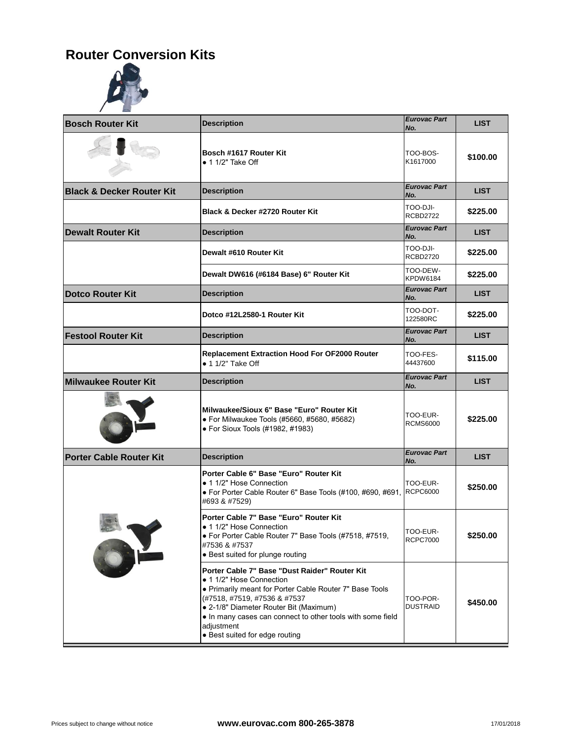### **Router Conversion Kits**



| <b>Bosch Router Kit</b>              | <b>Description</b>                                                                                                                                                                                                                                                                                                           | <b>Eurovac Part</b><br>No.  |
|--------------------------------------|------------------------------------------------------------------------------------------------------------------------------------------------------------------------------------------------------------------------------------------------------------------------------------------------------------------------------|-----------------------------|
|                                      | Bosch #1617 Router Kit<br>$\bullet$ 1 1/2" Take Off                                                                                                                                                                                                                                                                          | TOO-BOS-<br>K1617000        |
| <b>Black &amp; Decker Router Kit</b> | <b>Description</b>                                                                                                                                                                                                                                                                                                           | <b>Eurovac Part</b><br>No.  |
|                                      | Black & Decker #2720 Router Kit                                                                                                                                                                                                                                                                                              | TOO-DJI-<br><b>RCBD2722</b> |
| <b>Dewalt Router Kit</b>             | <b>Description</b>                                                                                                                                                                                                                                                                                                           | <b>Eurovac Part</b><br>No.  |
|                                      | Dewalt #610 Router Kit                                                                                                                                                                                                                                                                                                       | TOO-DJI-<br><b>RCBD2720</b> |
|                                      | Dewalt DW616 (#6184 Base) 6" Router Kit                                                                                                                                                                                                                                                                                      | TOO-DEW-<br><b>KPDW6184</b> |
| <b>Dotco Router Kit</b>              | <b>Description</b>                                                                                                                                                                                                                                                                                                           | <b>Eurovac Part</b><br>No.  |
|                                      | Dotco #12L2580-1 Router Kit                                                                                                                                                                                                                                                                                                  | TOO-DOT-<br>122580RC        |
| <b>Festool Router Kit</b>            | <b>Description</b>                                                                                                                                                                                                                                                                                                           | <b>Eurovac Part</b><br>No.  |
|                                      | <b>Replacement Extraction Hood For OF2000 Router</b><br>$\bullet$ 1 1/2" Take Off                                                                                                                                                                                                                                            | TOO-FES-<br>44437600        |
| <b>Milwaukee Router Kit</b>          | <b>Description</b>                                                                                                                                                                                                                                                                                                           | <b>Eurovac Part</b><br>No.  |
|                                      | Milwaukee/Sioux 6" Base "Euro" Router Kit<br>• For Milwaukee Tools (#5660, #5680, #5682)<br>• For Sioux Tools (#1982, #1983)                                                                                                                                                                                                 | TOO-EUR-<br><b>RCMS6000</b> |
| <b>Porter Cable Router Kit</b>       | <b>Description</b>                                                                                                                                                                                                                                                                                                           | <b>Eurovac Part</b><br>No.  |
|                                      | Porter Cable 6" Base "Euro" Router Kit<br>• 1 1/2" Hose Connection<br>• For Porter Cable Router 6" Base Tools (#100, #690, #691,<br>#693 & #7529)                                                                                                                                                                            | TOO-EUR-<br><b>RCPC6000</b> |
|                                      | Porter Cable 7" Base "Euro" Router Kit<br>• 1 1/2" Hose Connection<br>· For Porter Cable Router 7" Base Tools (#7518, #7519,<br>#7536 & #7537<br>• Best suited for plunge routing                                                                                                                                            | TOO-EUR-<br><b>RCPC7000</b> |
|                                      | Porter Cable 7" Base "Dust Raider" Router Kit<br>• 1 1/2" Hose Connection<br>• Primarily meant for Porter Cable Router 7" Base Tools<br>(#7518, #7519, #7536 & #7537<br>• 2-1/8" Diameter Router Bit (Maximum)<br>• In many cases can connect to other tools with some field<br>adjustment<br>• Best suited for edge routing | TOO-POR-<br><b>DUSTRAID</b> |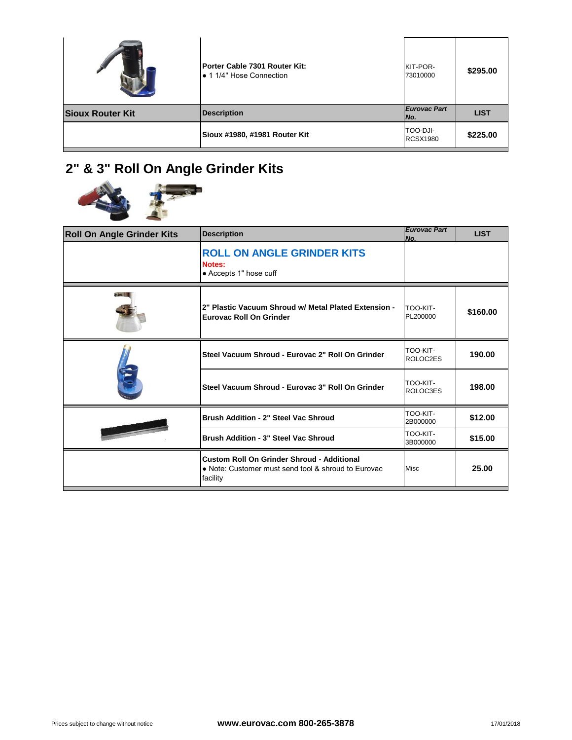|                         | Porter Cable 7301 Router Kit:<br>• 1 1/4" Hose Connection | KIT-POR-<br>73010000        |  |
|-------------------------|-----------------------------------------------------------|-----------------------------|--|
| <b>Sioux Router Kit</b> | <b>Description</b>                                        | <b>Eurovac Part</b><br>No.  |  |
|                         | Sioux #1980, #1981 Router Kit                             | TOO-DJI-<br><b>RCSX1980</b> |  |

# **2" & 3" Roll On Angle Grinder Kits**



| <b>Roll On Angle Grinder Kits</b> | <b>Description</b>                                                                                                   | <b>Eurovac Part</b><br>No. |
|-----------------------------------|----------------------------------------------------------------------------------------------------------------------|----------------------------|
|                                   | <b>ROLL ON ANGLE GRINDER KITS</b><br>Notes:<br>• Accepts 1" hose cuff                                                |                            |
|                                   | 2" Plastic Vacuum Shroud w/ Metal Plated Extension -<br><b>Eurovac Roll On Grinder</b>                               | TOO-KIT-<br>PL200000       |
|                                   | Steel Vacuum Shroud - Eurovac 2" Roll On Grinder                                                                     | TOO-KIT-<br>ROLOC2ES       |
|                                   | Steel Vacuum Shroud - Eurovac 3" Roll On Grinder                                                                     | TOO-KIT-<br>ROLOC3ES       |
|                                   | Brush Addition - 2" Steel Vac Shroud                                                                                 | TOO-KIT-<br>2B000000       |
|                                   | Brush Addition - 3" Steel Vac Shroud                                                                                 | TOO-KIT-<br>3B000000       |
|                                   | <b>Custom Roll On Grinder Shroud - Additional</b><br>• Note: Customer must send tool & shroud to Eurovac<br>facility | Misc                       |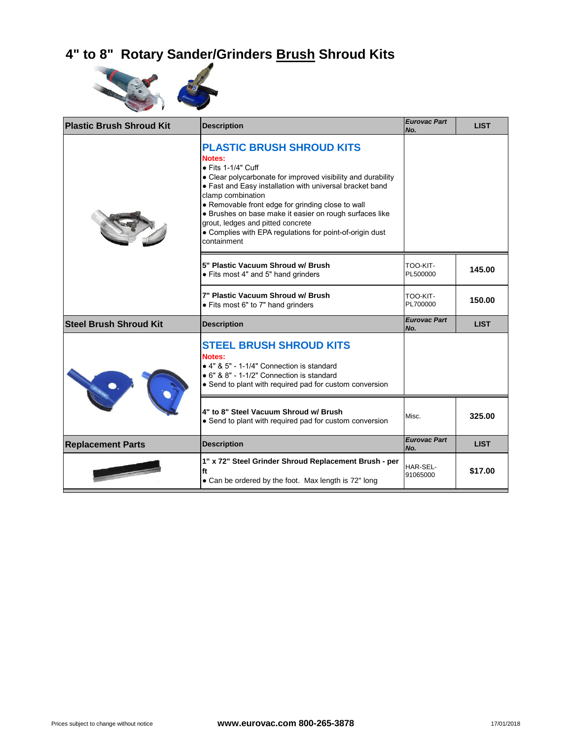## **4" to 8" Rotary Sander/Grinders Brush Shroud Kits**



| <b>Plastic Brush Shroud Kit</b> | <b>Description</b>                                                                                                                                                                                                                                                                                                                                                                                                                                        | <b>Eurovac Part</b><br>No. |
|---------------------------------|-----------------------------------------------------------------------------------------------------------------------------------------------------------------------------------------------------------------------------------------------------------------------------------------------------------------------------------------------------------------------------------------------------------------------------------------------------------|----------------------------|
|                                 | <b>PLASTIC BRUSH SHROUD KITS</b><br>Notes:<br>$\bullet$ Fits 1-1/4" Cuff<br>• Clear polycarbonate for improved visibility and durability<br>• Fast and Easy installation with universal bracket band<br>clamp combination<br>• Removable front edge for grinding close to wall<br>• Brushes on base make it easier on rough surfaces like<br>grout, ledges and pitted concrete<br>• Complies with EPA regulations for point-of-origin dust<br>containment |                            |
|                                 | 5" Plastic Vacuum Shroud w/ Brush<br>• Fits most 4" and 5" hand grinders                                                                                                                                                                                                                                                                                                                                                                                  | TOO-KIT-<br>PL500000       |
|                                 | 7" Plastic Vacuum Shroud w/ Brush<br>• Fits most 6" to 7" hand grinders                                                                                                                                                                                                                                                                                                                                                                                   | TOO-KIT-<br>PL700000       |
| <b>Steel Brush Shroud Kit</b>   | <b>Description</b>                                                                                                                                                                                                                                                                                                                                                                                                                                        | <b>Eurovac Part</b><br>No. |
|                                 | <b>STEEL BRUSH SHROUD KITS</b><br>Notes:<br>• 4" & 5" - 1-1/4" Connection is standard<br>• 6" & 8" - 1-1/2" Connection is standard<br>• Send to plant with required pad for custom conversion                                                                                                                                                                                                                                                             |                            |
|                                 | 4" to 8" Steel Vacuum Shroud w/ Brush<br>• Send to plant with required pad for custom conversion                                                                                                                                                                                                                                                                                                                                                          | Misc.                      |
| <b>Replacement Parts</b>        | <b>Description</b>                                                                                                                                                                                                                                                                                                                                                                                                                                        | <b>Eurovac Part</b><br>No. |
|                                 | 1" x 72" Steel Grinder Shroud Replacement Brush - per<br>ft<br>• Can be ordered by the foot. Max length is 72" long                                                                                                                                                                                                                                                                                                                                       | HAR-SEL-<br>91065000       |
|                                 |                                                                                                                                                                                                                                                                                                                                                                                                                                                           |                            |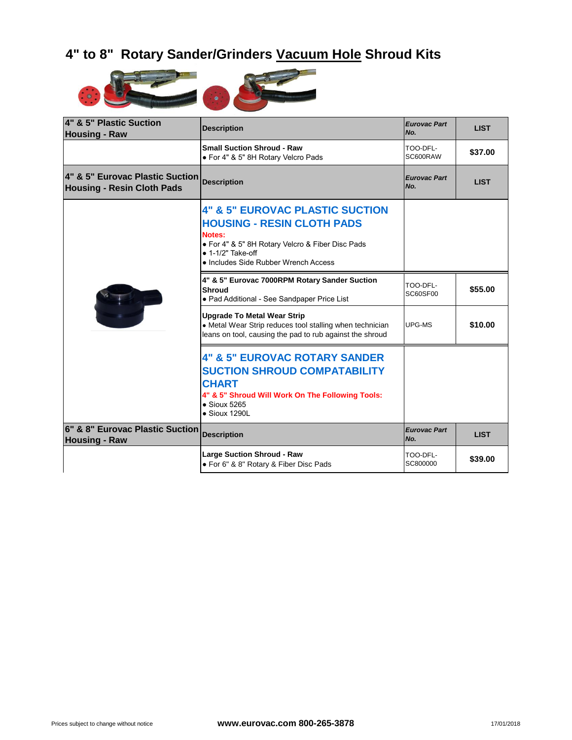### **4" to 8" Rotary Sander/Grinders Vacuum Hole Shroud Kits**



| 4" & 5" Plastic Suction<br><b>Housing - Raw</b>                      | <b>Description</b>                                                                                                                                                                                                 | <b>Eurovac Part</b><br>No.  |
|----------------------------------------------------------------------|--------------------------------------------------------------------------------------------------------------------------------------------------------------------------------------------------------------------|-----------------------------|
|                                                                      | <b>Small Suction Shroud - Raw</b><br>• For 4" & 5" 8H Rotary Velcro Pads                                                                                                                                           | TOO-DFL-<br>SC600RAW        |
| 4" & 5" Eurovac Plastic Suction<br><b>Housing - Resin Cloth Pads</b> | <b>Description</b>                                                                                                                                                                                                 | <b>Eurovac Part</b><br>No.  |
|                                                                      | <b>4" &amp; 5" EUROVAC PLASTIC SUCTION</b><br><b>HOUSING - RESIN CLOTH PADS</b><br>Notes:<br>• For 4" & 5" 8H Rotary Velcro & Fiber Disc Pads<br>$\bullet$ 1-1/2" Take-off<br>• Includes Side Rubber Wrench Access |                             |
|                                                                      | 4" & 5" Eurovac 7000RPM Rotary Sander Suction<br><b>Shroud</b><br>• Pad Additional - See Sandpaper Price List                                                                                                      | TOO-DFL-<br><b>SC60SF00</b> |
|                                                                      | <b>Upgrade To Metal Wear Strip</b><br>• Metal Wear Strip reduces tool stalling when technician<br>leans on tool, causing the pad to rub against the shroud                                                         | UPG-MS                      |
|                                                                      | <b>4" &amp; 5" EUROVAC ROTARY SANDER</b><br><b>SUCTION SHROUD COMPATABILITY</b><br><b>CHART</b><br>4" & 5" Shroud Will Work On The Following Tools:<br>$\bullet$ Sioux 5265<br>$\bullet$ Sioux 1290L               |                             |
| 6" & 8" Eurovac Plastic Suction<br><b>Housing - Raw</b>              | <b>Description</b>                                                                                                                                                                                                 | <b>Eurovac Part</b><br>No.  |
|                                                                      | <b>Large Suction Shroud - Raw</b><br>• For 6" & 8" Rotary & Fiber Disc Pads                                                                                                                                        | TOO-DFL-<br>SC800000        |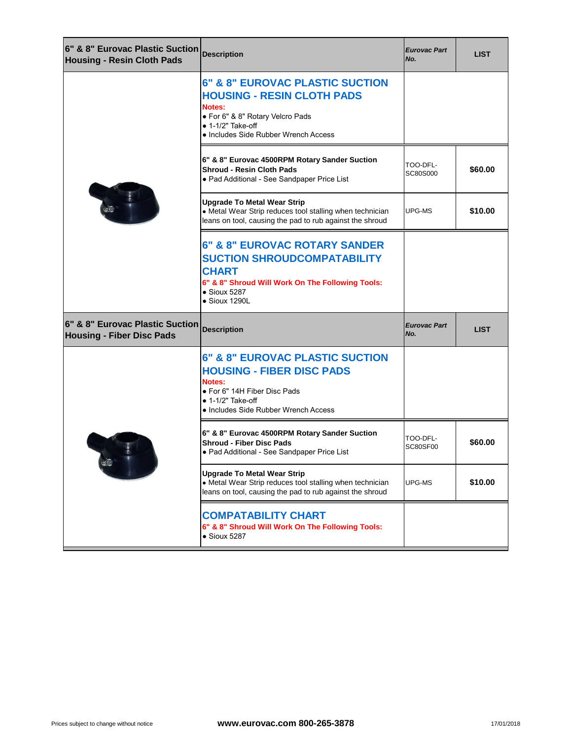| 6" & 8" Eurovac Plastic Suction Description<br><b>Housing - Resin Cloth Pads</b> |                                                                                                                                                                                                    | <b>Eurovac Part</b><br>No.  |
|----------------------------------------------------------------------------------|----------------------------------------------------------------------------------------------------------------------------------------------------------------------------------------------------|-----------------------------|
|                                                                                  | <b>6" &amp; 8" EUROVAC PLASTIC SUCTION</b><br><b>HOUSING - RESIN CLOTH PADS</b><br>Notes:<br>· For 6" & 8" Rotary Velcro Pads<br>$\bullet$ 1-1/2" Take-off<br>• Includes Side Rubber Wrench Access |                             |
|                                                                                  | 6" & 8" Eurovac 4500RPM Rotary Sander Suction<br><b>Shroud - Resin Cloth Pads</b><br>• Pad Additional - See Sandpaper Price List                                                                   | TOO-DFL-<br>SC80S000        |
|                                                                                  | <b>Upgrade To Metal Wear Strip</b><br>• Metal Wear Strip reduces tool stalling when technician<br>leans on tool, causing the pad to rub against the shroud                                         | UPG-MS                      |
|                                                                                  | <b>6" &amp; 8" EUROVAC ROTARY SANDER</b><br><b>SUCTION SHROUDCOMPATABILITY</b><br><b>CHART</b><br>6" & 8" Shroud Will Work On The Following Tools:<br>$\bullet$ Sioux 5287<br>• Sioux 1290L        |                             |
|                                                                                  |                                                                                                                                                                                                    |                             |
| 6" & 8" Eurovac Plastic Suction<br><b>Housing - Fiber Disc Pads</b>              | <b>Description</b>                                                                                                                                                                                 | <b>Eurovac Part</b><br>No.  |
|                                                                                  | <b>6" &amp; 8" EUROVAC PLASTIC SUCTION</b><br><b>HOUSING - FIBER DISC PADS</b><br>Notes:<br>• For 6" 14H Fiber Disc Pads<br>$\bullet$ 1-1/2" Take-off<br>• Includes Side Rubber Wrench Access      |                             |
|                                                                                  | 6" & 8" Eurovac 4500RPM Rotary Sander Suction<br><b>Shroud - Fiber Disc Pads</b><br>• Pad Additional - See Sandpaper Price List                                                                    | TOO-DFL-<br><b>SC80SF00</b> |
| $\mathbb{Q}$                                                                     | <b>Upgrade To Metal Wear Strip</b><br>• Metal Wear Strip reduces tool stalling when technician<br>leans on tool, causing the pad to rub against the shroud                                         | UPG-MS                      |
|                                                                                  | <b>COMPATABILITY CHART</b><br>6" & 8" Shroud Will Work On The Following Tools:<br>$\bullet$ Sioux 5287                                                                                             |                             |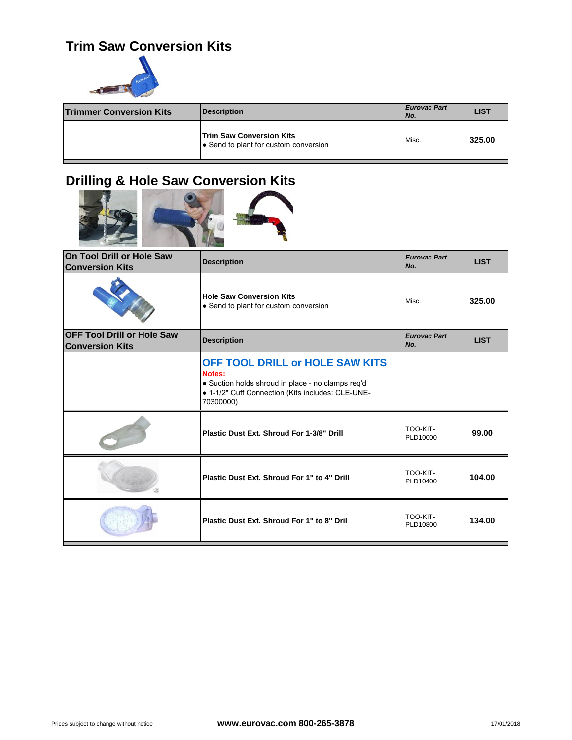#### **Trim Saw Conversion Kits**



| <b>Trimmer Conversion Kits</b> | Description                                                              | <b>Eurovac Part</b><br>No. |  |
|--------------------------------|--------------------------------------------------------------------------|----------------------------|--|
|                                | <b>Trim Saw Conversion Kits</b><br>• Send to plant for custom conversion | Misc.                      |  |

## **Drilling & Hole Saw Conversion Kits**



| On Tool Drill or Hole Saw<br><b>Conversion Kits</b>         | <b>Description</b>                                                                                                                                               | <b>Eurovac Part</b><br>No. |  |
|-------------------------------------------------------------|------------------------------------------------------------------------------------------------------------------------------------------------------------------|----------------------------|--|
|                                                             | <b>Hole Saw Conversion Kits</b><br>• Send to plant for custom conversion                                                                                         | Misc.                      |  |
| <b>OFF Tool Drill or Hole Saw</b><br><b>Conversion Kits</b> | <b>Description</b>                                                                                                                                               | <b>Eurovac Part</b><br>No. |  |
|                                                             | OFF TOOL DRILL or HOLE SAW KITS<br>Notes:<br>· Suction holds shroud in place - no clamps req'd<br>• 1-1/2" Cuff Connection (Kits includes: CLE-UNE-<br>70300000) |                            |  |
|                                                             | Plastic Dust Ext. Shroud For 1-3/8" Drill                                                                                                                        | TOO-KIT-<br>PLD10000       |  |
|                                                             | Plastic Dust Ext. Shroud For 1" to 4" Drill                                                                                                                      | TOO-KIT-<br>PLD10400       |  |
|                                                             | Plastic Dust Ext. Shroud For 1" to 8" Dril                                                                                                                       | TOO-KIT-<br>PLD10800       |  |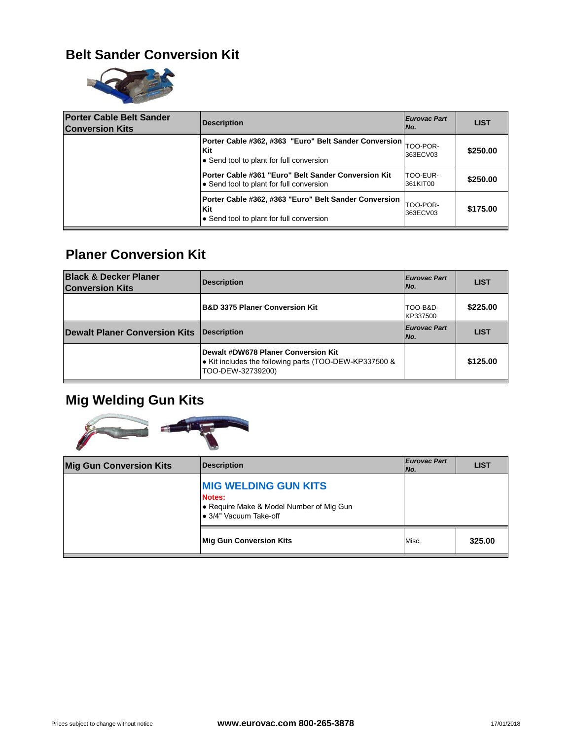#### **Belt Sander Conversion Kit**



| <b>Porter Cable Belt Sander</b><br><b>Conversion Kits</b> | <b>Description</b>                                                                                       | <b>Eurovac Part</b><br>INo. |
|-----------------------------------------------------------|----------------------------------------------------------------------------------------------------------|-----------------------------|
|                                                           | Porter Cable #362, #363 "Euro" Belt Sander Conversion<br>Kit<br>• Send tool to plant for full conversion | TOO-POR-<br>363ECV03        |
|                                                           | <b>Porter Cable #361 "Euro" Belt Sander Conversion Kit</b><br>• Send tool to plant for full conversion   | TOO-EUR-<br>361KIT00        |
|                                                           | Porter Cable #362, #363 "Euro" Belt Sander Conversion<br>Kit<br>• Send tool to plant for full conversion | TOO-POR-<br>363ECV03        |

#### **Planer Conversion Kit**

| <b>Black &amp; Decker Planer</b><br><b>Conversion Kits</b> | <b>Description</b>                                                                                                 | <b>Eurovac Part</b><br>I No. |
|------------------------------------------------------------|--------------------------------------------------------------------------------------------------------------------|------------------------------|
|                                                            | <b>B&amp;D 3375 Planer Conversion Kit</b>                                                                          | TOO-B&D-<br>KP337500         |
| <b>Dewalt Planer Conversion Kits</b>                       | <b>IDescription</b>                                                                                                | <b>Eurovac Part</b><br>INo.  |
|                                                            | Dewalt #DW678 Planer Conversion Kit<br>• Kit includes the following parts (TOO-DEW-KP337500 &<br>TOO-DEW-32739200) |                              |

# **Mig Welding Gun Kits**



| <b>Mig Gun Conversion Kits</b> | <b>Description</b>                                                                                          | <b>Eurovac Part</b><br>No. |  |
|--------------------------------|-------------------------------------------------------------------------------------------------------------|----------------------------|--|
|                                | <b>MIG WELDING GUN KITS</b><br>Notes:<br>• Require Make & Model Number of Mig Gun<br>• 3/4" Vacuum Take-off |                            |  |
|                                | Mig Gun Conversion Kits                                                                                     | Misc.                      |  |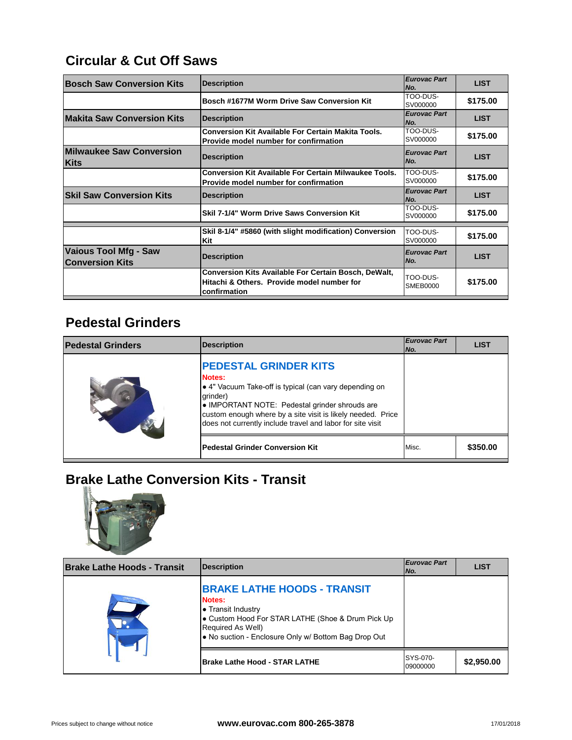### **Circular & Cut Off Saws**

| <b>Bosch Saw Conversion Kits</b>                | <b>Description</b>                                                                                                        | <b>Eurovac Part</b><br>No.  |
|-------------------------------------------------|---------------------------------------------------------------------------------------------------------------------------|-----------------------------|
|                                                 | Bosch #1677M Worm Drive Saw Conversion Kit                                                                                | TOO-DUS-<br>SV000000        |
| <b>Makita Saw Conversion Kits</b>               | <b>Description</b>                                                                                                        | <b>Eurovac Part</b><br>No.  |
|                                                 | <b>Conversion Kit Available For Certain Makita Tools.</b><br>Provide model number for confirmation                        | TOO-DUS-<br>SV000000        |
| <b>Milwaukee Saw Conversion</b><br>Kits         | <b>Description</b>                                                                                                        | <b>Eurovac Part</b><br>No.  |
|                                                 | <b>Conversion Kit Available For Certain Milwaukee Tools.</b><br>Provide model number for confirmation                     | TOO-DUS-<br>SV000000        |
| <b>Skil Saw Conversion Kits</b>                 | <b>Description</b>                                                                                                        | <b>Eurovac Part</b><br>No.  |
|                                                 | Skil 7-1/4" Worm Drive Saws Conversion Kit                                                                                | TOO-DUS-<br>SV000000        |
|                                                 | Skil 8-1/4" #5860 (with slight modification) Conversion<br>Kit                                                            | TOO-DUS-<br>SV000000        |
| Vaious Tool Mfg - Saw<br><b>Conversion Kits</b> | <b>Description</b>                                                                                                        | <b>Eurovac Part</b><br>No.  |
|                                                 | <b>Conversion Kits Available For Certain Bosch, DeWalt,</b><br>Hitachi & Others. Provide model number for<br>confirmation | TOO-DUS-<br><b>SMEB0000</b> |

### **Pedestal Grinders**

| <b>Pedestal Grinders</b> | <b>Description</b>                                                                                                                                                                                                                                                                                 | <b>Eurovac Part</b><br>No. |
|--------------------------|----------------------------------------------------------------------------------------------------------------------------------------------------------------------------------------------------------------------------------------------------------------------------------------------------|----------------------------|
|                          | <b>PEDESTAL GRINDER KITS</b><br><b>Notes:</b><br>• 4" Vacuum Take-off is typical (can vary depending on<br>grinder)<br>• IMPORTANT NOTE: Pedestal grinder shrouds are<br>custom enough where by a site visit is likely needed. Price<br>does not currently include travel and labor for site visit |                            |
|                          | <b>Pedestal Grinder Conversion Kit</b>                                                                                                                                                                                                                                                             | Misc.                      |

## **Brake Lathe Conversion Kits - Transit**



| <b>Brake Lathe Hoods - Transit</b> | <b>Description</b>                                                                                                                                                                                          | <b>Eurovac Part</b><br>No. |
|------------------------------------|-------------------------------------------------------------------------------------------------------------------------------------------------------------------------------------------------------------|----------------------------|
|                                    | <b>BRAKE LATHE HOODS - TRANSIT</b><br>Notes:<br>• Transit Industry<br>• Custom Hood For STAR LATHE (Shoe & Drum Pick Up<br><b>Required As Well)</b><br>. No suction - Enclosure Only w/ Bottom Bag Drop Out |                            |
|                                    | <b>Brake Lathe Hood - STAR LATHE</b>                                                                                                                                                                        | SYS-070-<br>09000000       |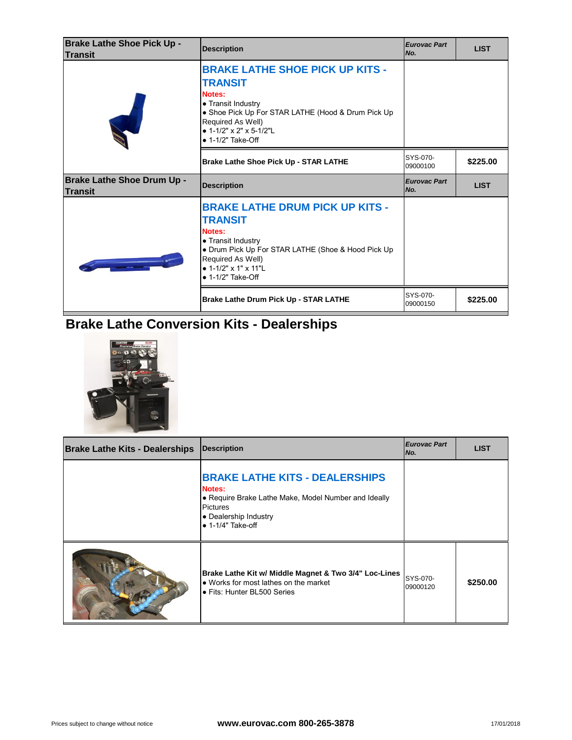| <b>Brake Lathe Shoe Pick Up -</b><br><b>Transit</b> | <b>Description</b>                                                                                                                                                                                                                  | <b>Eurovac Part</b><br>No. |  |
|-----------------------------------------------------|-------------------------------------------------------------------------------------------------------------------------------------------------------------------------------------------------------------------------------------|----------------------------|--|
|                                                     | <b>BRAKE LATHE SHOE PICK UP KITS -</b><br><b>TRANSIT</b><br>Notes:<br>• Transit Industry<br>• Shoe Pick Up For STAR LATHE (Hood & Drum Pick Up<br>Required As Well)<br>• $1-1/2$ " x 2" x 5-1/2"L<br>$\bullet$ 1-1/2" Take-Off      |                            |  |
|                                                     | Brake Lathe Shoe Pick Up - STAR LATHE                                                                                                                                                                                               | SYS-070-<br>09000100       |  |
| <b>Brake Lathe Shoe Drum Up -</b><br><b>Transit</b> | <b>Description</b>                                                                                                                                                                                                                  | <b>Eurovac Part</b><br>No. |  |
|                                                     | <b>BRAKE LATHE DRUM PICK UP KITS -</b><br><b>TRANSIT</b><br>Notes:<br>• Transit Industry<br>• Drum Pick Up For STAR LATHE (Shoe & Hood Pick Up<br>Required As Well)<br>• $1 - 1/2$ " x $1$ " x $11$ "L<br>$\bullet$ 1-1/2" Take-Off |                            |  |
|                                                     | Brake Lathe Drum Pick Up - STAR LATHE                                                                                                                                                                                               | SYS-070-<br>09000150       |  |

# **Brake Lathe Conversion Kits - Dealerships**



| <b>Brake Lathe Kits - Dealerships</b> | <b>Description</b>                                                                                                                                                                      | <b>Eurovac Part</b><br>No. |  |
|---------------------------------------|-----------------------------------------------------------------------------------------------------------------------------------------------------------------------------------------|----------------------------|--|
|                                       | <b>BRAKE LATHE KITS - DEALERSHIPS</b><br><b>Notes:</b><br>• Require Brake Lathe Make, Model Number and Ideally<br><b>Pictures</b><br>• Dealership Industry<br>$\bullet$ 1-1/4" Take-off |                            |  |
|                                       | Brake Lathe Kit w/ Middle Magnet & Two 3/4" Loc-Lines<br>• Works for most lathes on the market<br>• Fits: Hunter BL500 Series                                                           | SYS-070-<br>09000120       |  |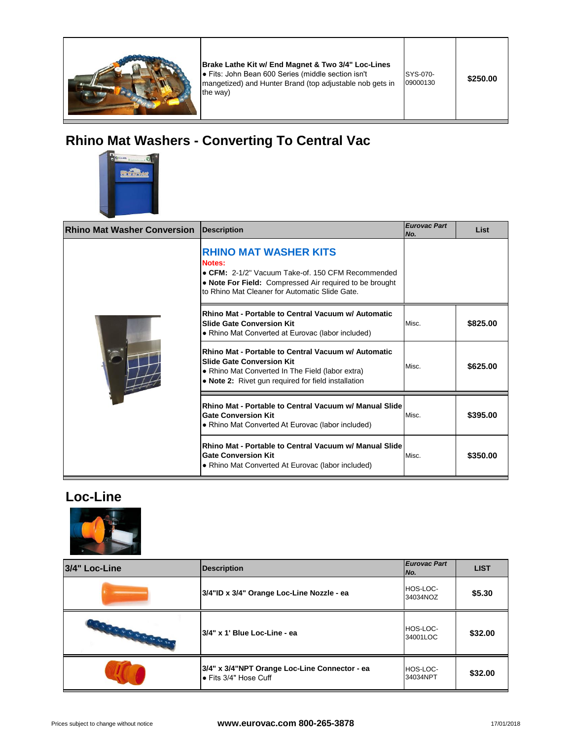

**Brake Lathe Kit w/ End Magnet & Two 3/4" Loc-Lines**  ● Fits: John Bean 600 Series (middle section isn't mangetized) and Hunter Brand (top adjustable nob gets in the way)

## **Rhino Mat Washers - Converting To Central Vac**



| <b>Rhino Mat Washer Conversion</b> | <b>Description</b>                                                                                                                                                                                       | <b>Eurovac Part</b><br>No. |  |
|------------------------------------|----------------------------------------------------------------------------------------------------------------------------------------------------------------------------------------------------------|----------------------------|--|
|                                    | <b>RHINO MAT WASHER KITS</b><br>Notes:<br>• CFM: 2-1/2" Vacuum Take-of, 150 CFM Recommended<br>• Note For Field: Compressed Air required to be brought<br>to Rhino Mat Cleaner for Automatic Slide Gate. |                            |  |
|                                    | Rhino Mat - Portable to Central Vacuum w/ Automatic<br><b>Slide Gate Conversion Kit</b><br>• Rhino Mat Converted at Eurovac (labor included)                                                             | Misc.                      |  |
|                                    | Rhino Mat - Portable to Central Vacuum w/ Automatic<br><b>Slide Gate Conversion Kit</b><br>• Rhino Mat Converted In The Field (labor extra)<br>• Note 2: Rivet gun required for field installation       | Misc.                      |  |
|                                    | Rhino Mat - Portable to Central Vacuum w/ Manual Slide<br><b>Gate Conversion Kit</b><br>• Rhino Mat Converted At Eurovac (labor included)                                                                | Misc.                      |  |
|                                    | Rhino Mat - Portable to Central Vacuum w/ Manual Slide<br><b>Gate Conversion Kit</b><br>• Rhino Mat Converted At Eurovac (labor included)                                                                | Misc.                      |  |

#### **Loc-Line**



| 3/4" Loc-Line          | <b>Description</b>                                                     | <b>Eurovac Part</b><br>INo. |  |
|------------------------|------------------------------------------------------------------------|-----------------------------|--|
|                        | 3/4"ID x 3/4" Orange Loc-Line Nozzle - ea                              | HOS-LOC-<br>34034NOZ        |  |
| <b>SALE CONTRACTOR</b> | 3/4" x 1' Blue Loc-Line - ea                                           | HOS-LOC-<br>34001LOC        |  |
|                        | 3/4" x 3/4"NPT Orange Loc-Line Connector - ea<br>• Fits 3/4" Hose Cuff | HOS-LOC-<br>34034NPT        |  |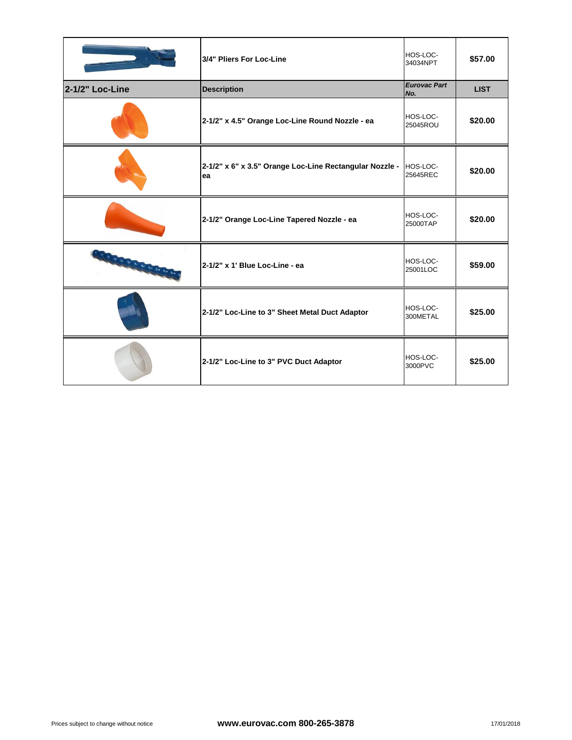|                   | 3/4" Pliers For Loc-Line                                      | HOS-LOC-<br>34034NPT       |  |
|-------------------|---------------------------------------------------------------|----------------------------|--|
| 2-1/2" Loc-Line   | <b>Description</b>                                            | <b>Eurovac Part</b><br>No. |  |
|                   | 2-1/2" x 4.5" Orange Loc-Line Round Nozzle - ea               | HOS-LOC-<br>25045ROU       |  |
|                   | 2-1/2" x 6" x 3.5" Orange Loc-Line Rectangular Nozzle -<br>ea | HOS-LOC-<br>25645REC       |  |
|                   | 2-1/2" Orange Loc-Line Tapered Nozzle - ea                    | HOS-LOC-<br>25000TAP       |  |
| <b>CONTRACTOR</b> | 2-1/2" x 1' Blue Loc-Line - ea                                | HOS-LOC-<br>25001LOC       |  |
|                   | 2-1/2" Loc-Line to 3" Sheet Metal Duct Adaptor                | HOS-LOC-<br>300METAL       |  |
|                   | 2-1/2" Loc-Line to 3" PVC Duct Adaptor                        | HOS-LOC-<br>3000PVC        |  |